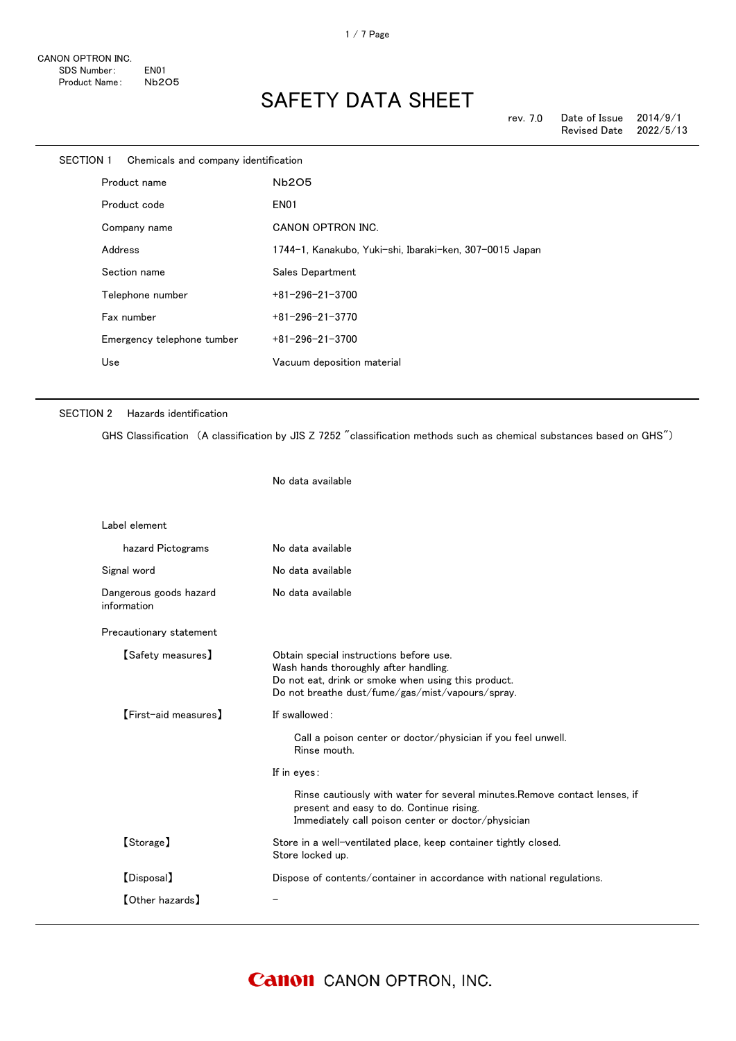| <b>SECTION 1</b> | Chemicals and company identification |                                                         |
|------------------|--------------------------------------|---------------------------------------------------------|
|                  | Product name                         | <b>Nb2O5</b>                                            |
|                  | Product code                         | <b>EN01</b>                                             |
|                  | Company name                         | CANON OPTRON INC.                                       |
|                  | Address                              | 1744-1, Kanakubo, Yuki-shi, Ibaraki-ken, 307-0015 Japan |
|                  | Section name                         | Sales Department                                        |
|                  | Telephone number                     | $+81 - 296 - 21 - 3700$                                 |
|                  | Fax number                           | $+81 - 296 - 21 - 3770$                                 |
|                  | Emergency telephone tumber           | $+81 - 296 - 21 - 3700$                                 |
|                  | Use                                  | Vacuum deposition material                              |
|                  |                                      |                                                         |

No data available

### SECTION 2 Hazards identification

GHS Classification (A classification by JIS Z 7252 "classification methods such as chemical substances based on GHS")

| Label element                         |                                                                                                                                                                                             |
|---------------------------------------|---------------------------------------------------------------------------------------------------------------------------------------------------------------------------------------------|
| hazard Pictograms                     | No data available                                                                                                                                                                           |
| Signal word                           | No data available                                                                                                                                                                           |
| Dangerous goods hazard<br>information | No data available                                                                                                                                                                           |
| Precautionary statement               |                                                                                                                                                                                             |
| [Safety measures]                     | Obtain special instructions before use.<br>Wash hands thoroughly after handling.<br>Do not eat, drink or smoke when using this product.<br>Do not breathe dust/fume/gas/mist/vapours/spray. |
| <b>[First-aid measures]</b>           | If swallowed:                                                                                                                                                                               |
|                                       | Call a poison center or doctor/physician if you feel unwell.<br>Rinse mouth.                                                                                                                |
|                                       | If in eyes:                                                                                                                                                                                 |
|                                       | Rinse cautiously with water for several minutes. Remove contact lenses, if<br>present and easy to do. Continue rising.<br>Immediately call poison center or doctor/physician                |
| [Storage]                             | Store in a well-ventilated place, keep container tightly closed.<br>Store locked up.                                                                                                        |
| [Disposal]                            | Dispose of contents/container in accordance with national regulations.                                                                                                                      |
| <b>[Other hazards]</b>                |                                                                                                                                                                                             |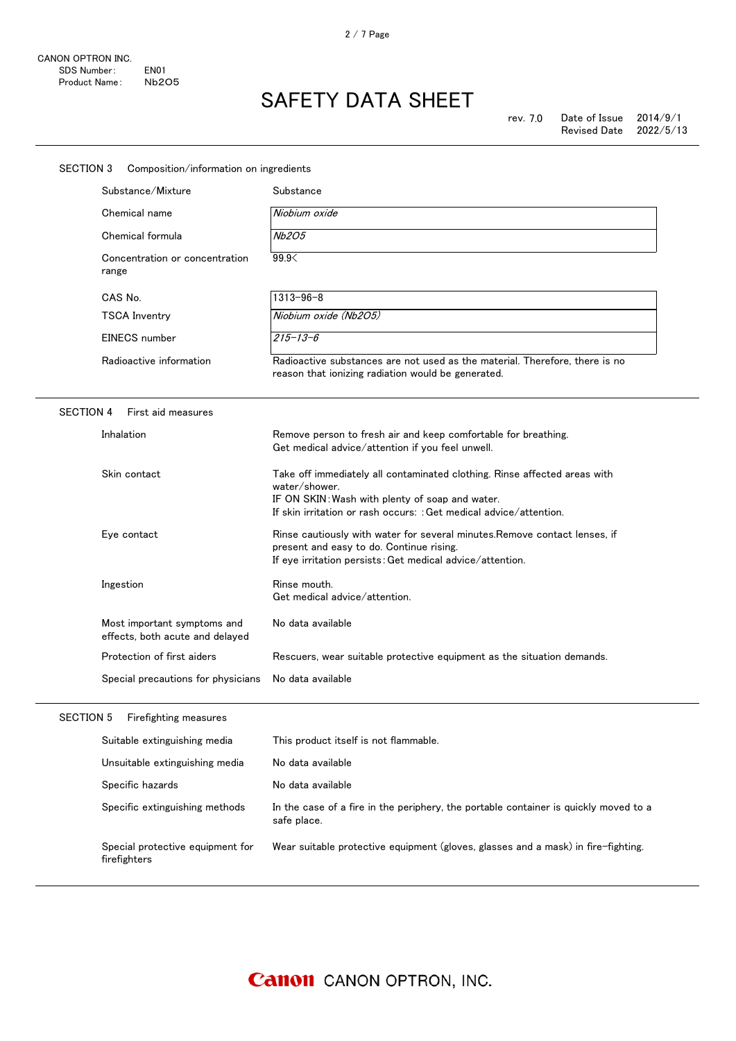| <b>SECTION 3</b><br>Composition/information on ingredients     |                                                                                                                                                                                                                     |  |  |  |
|----------------------------------------------------------------|---------------------------------------------------------------------------------------------------------------------------------------------------------------------------------------------------------------------|--|--|--|
| Substance/Mixture                                              | Substance                                                                                                                                                                                                           |  |  |  |
| Chemical name                                                  | Niobium oxide                                                                                                                                                                                                       |  |  |  |
| Chemical formula                                               | <b>Nb2O5</b>                                                                                                                                                                                                        |  |  |  |
| Concentration or concentration<br>range                        | 99.9<                                                                                                                                                                                                               |  |  |  |
| CAS No.                                                        | $1313 - 96 - 8$                                                                                                                                                                                                     |  |  |  |
| TSCA Inventry                                                  | Niobium oxide (Nb2O5)                                                                                                                                                                                               |  |  |  |
| <b>EINECS</b> number                                           | $215 - 13 - 6$                                                                                                                                                                                                      |  |  |  |
| Radioactive information                                        | Radioactive substances are not used as the material. Therefore, there is no<br>reason that ionizing radiation would be generated.                                                                                   |  |  |  |
| <b>SECTION 4</b><br>First aid measures                         |                                                                                                                                                                                                                     |  |  |  |
| Inhalation                                                     | Remove person to fresh air and keep comfortable for breathing.<br>Get medical advice/attention if you feel unwell.                                                                                                  |  |  |  |
| Skin contact                                                   | Take off immediately all contaminated clothing. Rinse affected areas with<br>water/shower.<br>IF ON SKIN: Wash with plenty of soap and water.<br>If skin irritation or rash occurs: : Get medical advice/attention. |  |  |  |
| Eye contact                                                    | Rinse cautiously with water for several minutes. Remove contact lenses, if<br>present and easy to do. Continue rising.<br>If eye irritation persists: Get medical advice/attention.                                 |  |  |  |
| Ingestion                                                      | Rinse mouth.<br>Get medical advice/attention.                                                                                                                                                                       |  |  |  |
| Most important symptoms and<br>effects, both acute and delayed | No data available                                                                                                                                                                                                   |  |  |  |
| Protection of first aiders                                     | Rescuers, wear suitable protective equipment as the situation demands.                                                                                                                                              |  |  |  |
| Special precautions for physicians                             | No data available                                                                                                                                                                                                   |  |  |  |
| Firefighting measures<br><b>SECTION 5</b>                      |                                                                                                                                                                                                                     |  |  |  |
| Suitable extinguishing media                                   | This product itself is not flammable.                                                                                                                                                                               |  |  |  |
| Unsuitable extinguishing media                                 | No data available                                                                                                                                                                                                   |  |  |  |
| Specific hazards                                               | No data available                                                                                                                                                                                                   |  |  |  |
| Specific extinguishing methods                                 | In the case of a fire in the periphery, the portable container is quickly moved to a<br>safe place.                                                                                                                 |  |  |  |
| Special protective equipment for<br>firefighters               | Wear suitable protective equipment (gloves, glasses and a mask) in fire-fighting.                                                                                                                                   |  |  |  |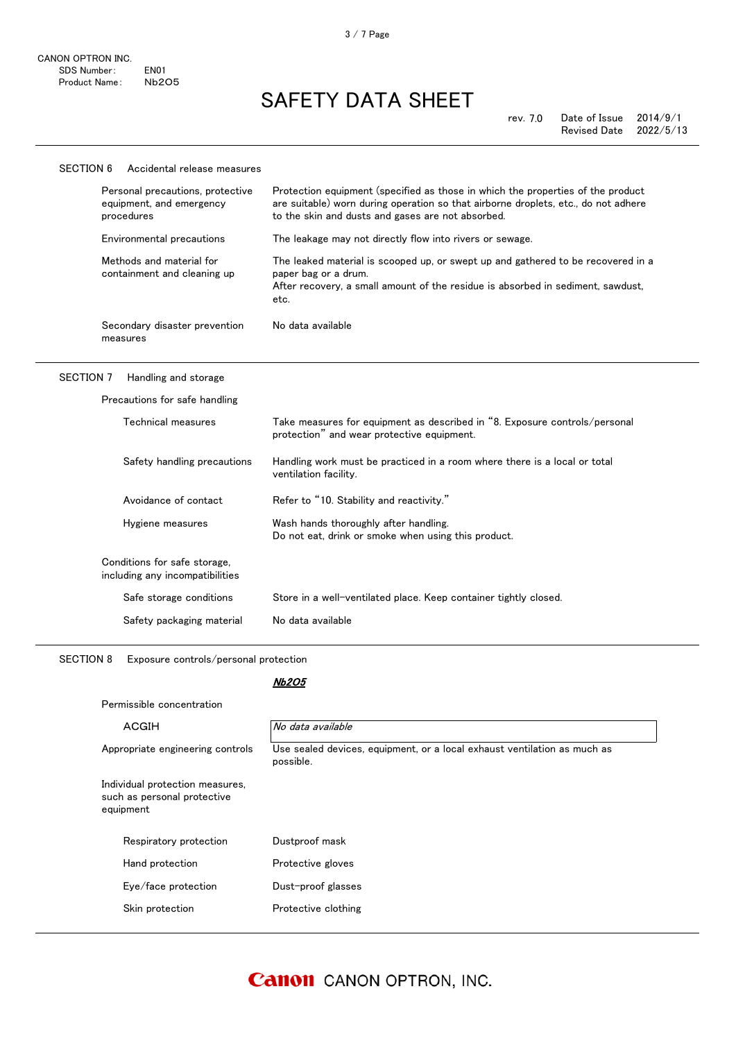#### SECTION 6 Accidental release measures Personal precautions, protective equipment, and emergency procedures Protection equipment (specified as those in which the properties of the product are suitable) worn during operation so that airborne droplets, etc., do not adhere to the skin and dusts and gases are not absorbed. Environmental precautions The leakage may not directly flow into rivers or sewage. Methods and material for containment and cleaning up The leaked material is scooped up, or swept up and gathered to be recovered in a paper bag or a drum. After recovery, a small amount of the residue is absorbed in sediment, sawdust, etc. Secondary disaster prevention measures No data available

### SECTION 7 Handling and storage

| Precautions for safe handling                                   |                                                                                                                          |
|-----------------------------------------------------------------|--------------------------------------------------------------------------------------------------------------------------|
| Technical measures                                              | Take measures for equipment as described in "8. Exposure controls/personal<br>protection" and wear protective equipment. |
| Safety handling precautions                                     | Handling work must be practiced in a room where there is a local or total<br>ventilation facility.                       |
| Avoidance of contact                                            | Refer to "10. Stability and reactivity."                                                                                 |
| Hygiene measures                                                | Wash hands thoroughly after handling.<br>Do not eat, drink or smoke when using this product.                             |
| Conditions for safe storage,<br>including any incompatibilities |                                                                                                                          |
| Safe storage conditions                                         | Store in a well-ventilated place. Keep container tightly closed.                                                         |
| Safety packaging material                                       | No data available                                                                                                        |

SECTION 8 Exposure controls/personal protection

### Nb2O5

| ACGIH                                                                       | No data available                                                                     |
|-----------------------------------------------------------------------------|---------------------------------------------------------------------------------------|
| Appropriate engineering controls                                            | Use sealed devices, equipment, or a local exhaust ventilation as much as<br>possible. |
| Individual protection measures,<br>such as personal protective<br>equipment |                                                                                       |
| Respiratory protection                                                      | Dustproof mask                                                                        |
| Hand protection                                                             | Protective gloves                                                                     |
| Eye/face protection                                                         | Dust-proof glasses                                                                    |
| Skin protection                                                             | Protective clothing                                                                   |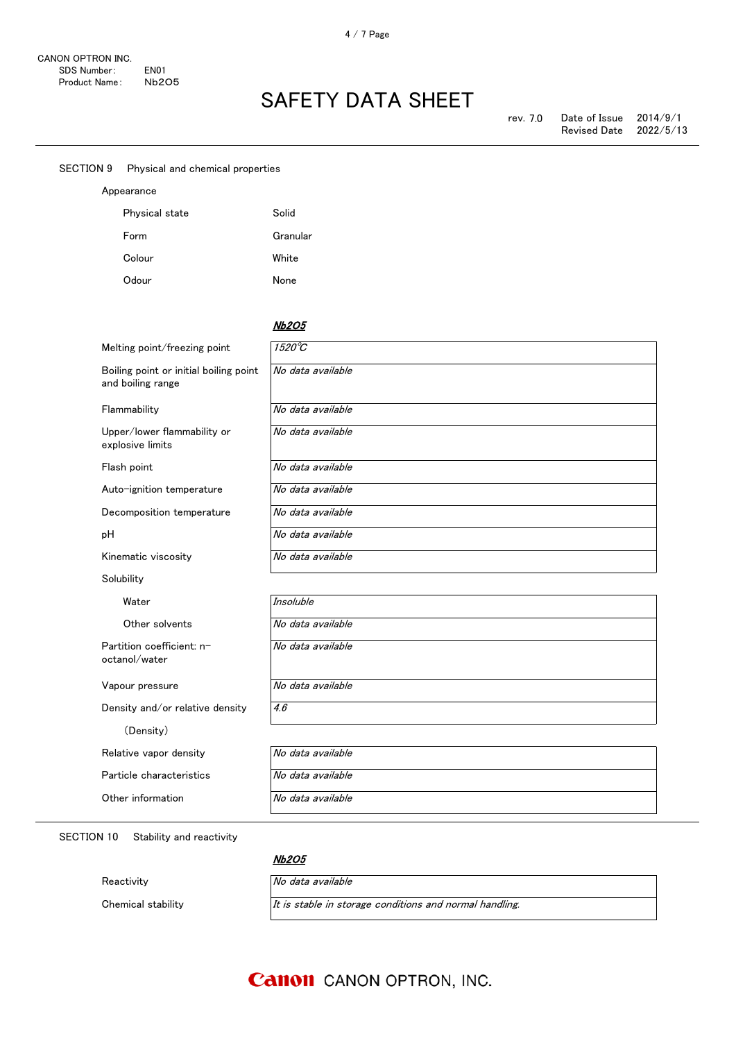| SECTION 9 | Physical and chemical properties                            |                   |  |
|-----------|-------------------------------------------------------------|-------------------|--|
|           | Appearance                                                  |                   |  |
|           | Physical state                                              | Solid             |  |
|           | Form                                                        | Granular          |  |
|           | Colour                                                      | White             |  |
|           | Odour                                                       | None              |  |
|           |                                                             |                   |  |
|           |                                                             | <b>Nb2O5</b>      |  |
|           | Melting point/freezing point                                | $1520^{\circ}C$   |  |
|           | Boiling point or initial boiling point<br>and boiling range | No data available |  |

No data available

Flammability Mo data available

Upper/lower flammability or explosive limits

Flash point No data available

Auto-ignition temperature Mo data available

Decomposition temperature No data available

pH  $N$ o data available

Kinematic viscosity **No data available** 

**Solubility** 

Water Insoluble

Other solvents No data available

Partition coefficient: noctanol/water

Vapour pressure  $\sqrt{N_o}$  data available

No data available

Density and/or relative density  $\sqrt{4.6}$ 

(Density)

Relative vapor density No data available

Particle characteristics | No data available

Other information No data available

SECTION 10 Stability and reactivity

### Nb2O5

Reactivity **No data available** 

Chemical stability  $I$  *It is stable in storage conditions and normal handling.* 

### **Canon** CANON OPTRON, INC.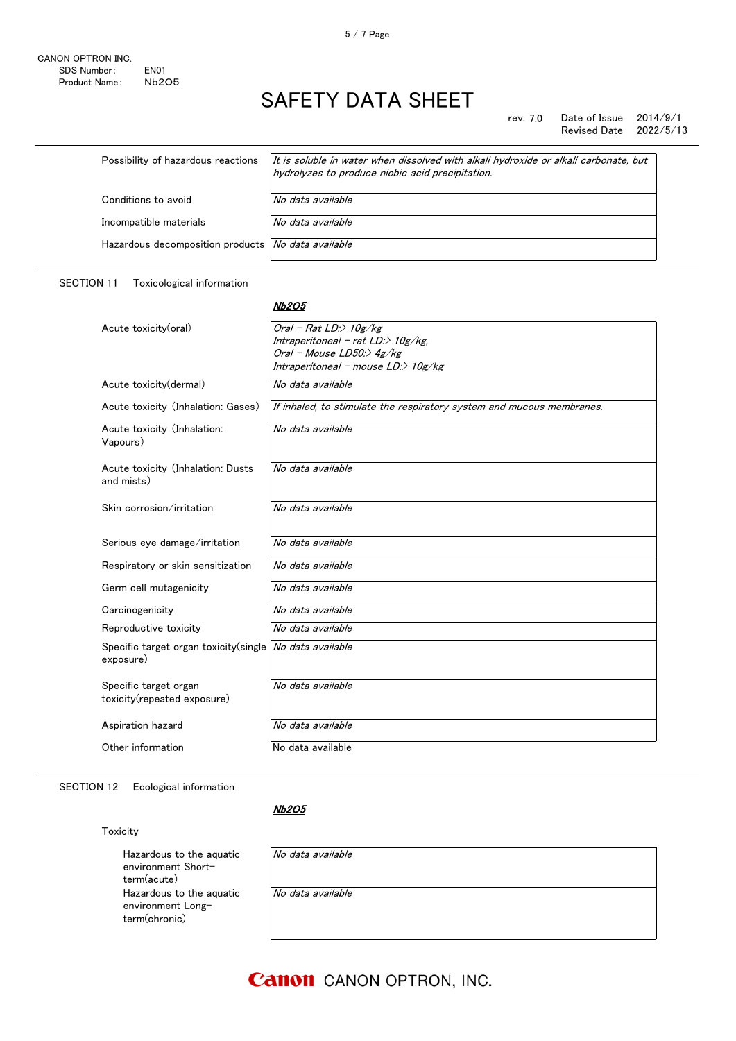#### rev. 7.0 Date of Issue  $2014/9/1$ Revised Date 2022/5/13

| Possibility of hazardous reactions                 | It is soluble in water when dissolved with alkali hydroxide or alkali carbonate, but<br>hydrolyzes to produce niobic acid precipitation. |
|----------------------------------------------------|------------------------------------------------------------------------------------------------------------------------------------------|
| Conditions to avoid                                | No data available                                                                                                                        |
| Incompatible materials                             | No data available                                                                                                                        |
| Hazardous decomposition products No data available |                                                                                                                                          |
|                                                    |                                                                                                                                          |

#### SECTION 11 Toxicological information

#### Nb2O5

| Acute toxicity(oral)                                 | Oral - Rat LD: $>$ 10g/kg                                             |
|------------------------------------------------------|-----------------------------------------------------------------------|
|                                                      | Intraperitoneal - rat $LD \gg 10g/kg$ ,                               |
|                                                      | Oral - Mouse LD50:> 4g/kg                                             |
|                                                      | Intraperitoneal - mouse LD:> 10g/kg                                   |
| Acute toxicity (dermal)                              | No data available                                                     |
| Acute toxicity (Inhalation: Gases)                   | If inhaled, to stimulate the respiratory system and mucous membranes. |
| Acute toxicity (Inhalation:<br>Vapours)              | No data available                                                     |
| Acute toxicity (Inhalation: Dusts<br>and mists)      | No data available                                                     |
| Skin corrosion/irritation                            | No data available                                                     |
| Serious eye damage/irritation                        | No data available                                                     |
| Respiratory or skin sensitization                    | No data available                                                     |
| Germ cell mutagenicity                               | No data available                                                     |
| Carcinogenicity                                      | No data available                                                     |
| Reproductive toxicity                                | No data available                                                     |
| Specific target organ toxicity (single<br>exposure)  | No data available                                                     |
| Specific target organ<br>toxicity(repeated exposure) | No data available                                                     |
| Aspiration hazard                                    | No data available                                                     |
| Other information                                    | No data available                                                     |

SECTION 12 Ecological information

### Nb2O5

Toxicity

Hazardous to the aquatic environment Shortterm(acute) Hazardous to the aquatic environment Longterm(chronic)

| No data available |  |  |
|-------------------|--|--|
| No data available |  |  |
|                   |  |  |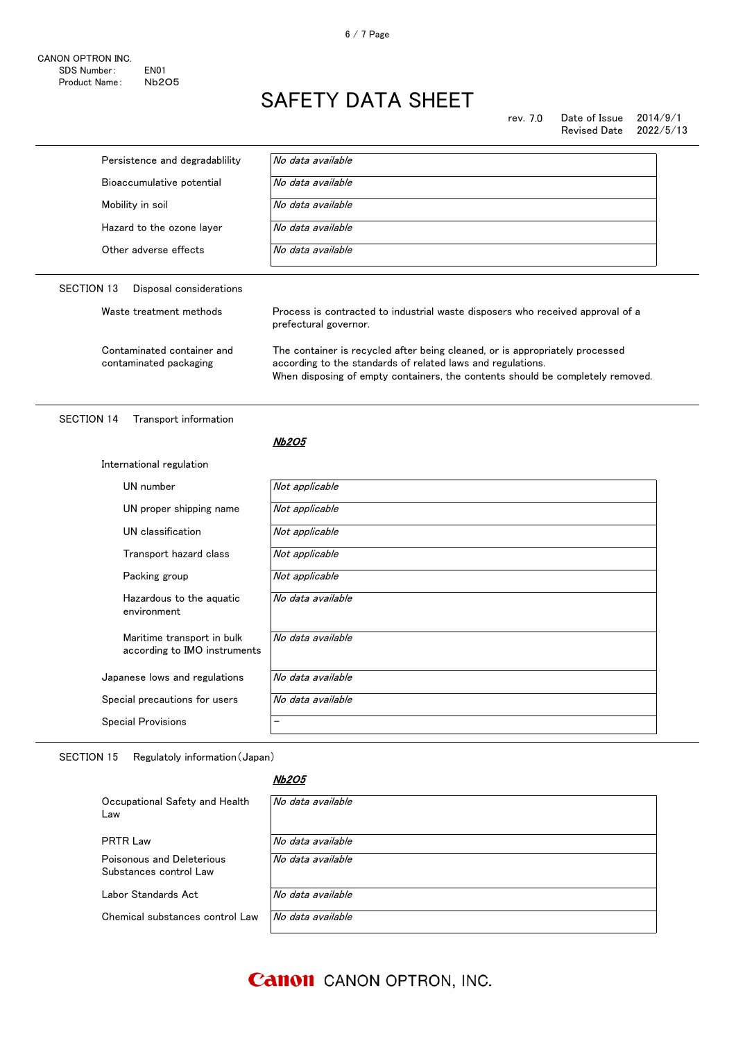rev. 7.0 Date of Issue 2014/9/1<br>Revised Date 2022/5/13 Revised Date

| Persistence and degradablility                             | No data available                                                                                                                                                                                                             |  |
|------------------------------------------------------------|-------------------------------------------------------------------------------------------------------------------------------------------------------------------------------------------------------------------------------|--|
| Bioaccumulative potential                                  | No data available                                                                                                                                                                                                             |  |
| Mobility in soil                                           | No data available                                                                                                                                                                                                             |  |
| Hazard to the ozone layer                                  | No data available                                                                                                                                                                                                             |  |
| Other adverse effects                                      | No data available                                                                                                                                                                                                             |  |
| <b>SECTION 13</b><br>Disposal considerations               |                                                                                                                                                                                                                               |  |
| Waste treatment methods                                    | Process is contracted to industrial waste disposers who received approval of a<br>prefectural governor.                                                                                                                       |  |
| Contaminated container and<br>contaminated packaging       | The container is recycled after being cleaned, or is appropriately processed<br>according to the standards of related laws and regulations.<br>When disposing of empty containers, the contents should be completely removed. |  |
| <b>SECTION 14</b><br>Transport information                 | <b>Nb2O5</b>                                                                                                                                                                                                                  |  |
| International regulation                                   |                                                                                                                                                                                                                               |  |
| UN number                                                  | Not applicable                                                                                                                                                                                                                |  |
|                                                            |                                                                                                                                                                                                                               |  |
|                                                            |                                                                                                                                                                                                                               |  |
| UN proper shipping name                                    | Not applicable                                                                                                                                                                                                                |  |
| UN classification                                          | Not applicable                                                                                                                                                                                                                |  |
| Transport hazard class                                     | Not applicable                                                                                                                                                                                                                |  |
| Packing group                                              | Not applicable                                                                                                                                                                                                                |  |
| Hazardous to the aquatic<br>environment                    | No data available                                                                                                                                                                                                             |  |
| Maritime transport in bulk<br>according to IMO instruments | No data available                                                                                                                                                                                                             |  |
| Japanese lows and regulations                              | No data available                                                                                                                                                                                                             |  |
| Special precautions for users                              | No data available                                                                                                                                                                                                             |  |

SECTION 15 Regulatoly information(Japan)

#### Nb2O5

| Occupational Safety and Health<br>Law               | No data available |
|-----------------------------------------------------|-------------------|
| <b>PRTR Law</b>                                     | No data available |
| Poisonous and Deleterious<br>Substances control Law | No data available |
| Labor Standards Act                                 | No data available |
| Chemical substances control Law                     | No data available |